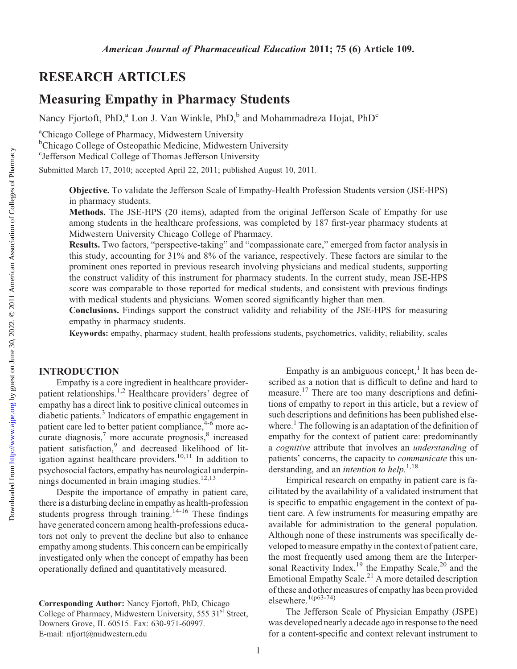## RESEARCH ARTICLES

# Measuring Empathy in Pharmacy Students

Nancy Fjortoft, PhD, $^a$  Lon J. Van Winkle, PhD, $^b$  and Mohammadreza Hojat, PhD<sup>c</sup>

<sup>a</sup>Chicago College of Pharmacy, Midwestern University

<sup>b</sup>Chicago College of Osteopathic Medicine, Midwestern University

c Jefferson Medical College of Thomas Jefferson University

Submitted March 17, 2010; accepted April 22, 2011; published August 10, 2011.

Objective. To validate the Jefferson Scale of Empathy-Health Profession Students version (JSE-HPS) in pharmacy students.

Methods. The JSE-HPS (20 items), adapted from the original Jefferson Scale of Empathy for use among students in the healthcare professions, was completed by 187 first-year pharmacy students at Midwestern University Chicago College of Pharmacy.

Results. Two factors, "perspective-taking" and "compassionate care," emerged from factor analysis in this study, accounting for 31% and 8% of the variance, respectively. These factors are similar to the prominent ones reported in previous research involving physicians and medical students, supporting the construct validity of this instrument for pharmacy students. In the current study, mean JSE-HPS score was comparable to those reported for medical students, and consistent with previous findings with medical students and physicians. Women scored significantly higher than men.

Conclusions. Findings support the construct validity and reliability of the JSE-HPS for measuring empathy in pharmacy students.

Keywords: empathy, pharmacy student, health professions students, psychometrics, validity, reliability, scales

### INTRODUCTION

Empathy is a core ingredient in healthcare providerpatient relationships.1,2 Healthcare providers' degree of empathy has a direct link to positive clinical outcomes in diabetic patients.3 Indicators of empathic engagement in patient care led to better patient compliance,  $4-6$  more accurate diagnosis, $\frac{7}{1}$  more accurate prognosis, $\frac{8}{1}$  increased patient satisfaction,<sup>9</sup> and decreased likelihood of litigation against healthcare providers.<sup>10,11</sup> In addition to psychosocial factors, empathy has neurological underpinnings documented in brain imaging studies. $12,13$ 

Despite the importance of empathy in patient care, there is a disturbing decline in empathy as health-profession students progress through training.<sup>14-16</sup> These findings have generated concern among health-professions educators not only to prevent the decline but also to enhance empathy among students. This concern can be empirically investigated only when the concept of empathy has been operationally defined and quantitatively measured.

Empathy is an ambiguous concept, $<sup>1</sup>$  It has been de-</sup> scribed as a notion that is difficult to define and hard to measure.<sup>17</sup> There are too many descriptions and definitions of empathy to report in this article, but a review of such descriptions and definitions has been published elsewhere.<sup>1</sup> The following is an adaptation of the definition of empathy for the context of patient care: predominantly a cognitive attribute that involves an understanding of patients' concerns, the capacity to communicate this understanding, and an intention to help.<sup>1,18</sup>

Empirical research on empathy in patient care is facilitated by the availability of a validated instrument that is specific to empathic engagement in the context of patient care. A few instruments for measuring empathy are available for administration to the general population. Although none of these instruments was specifically developed to measure empathy in the context of patient care, the most frequently used among them are the Interpersonal Reactivity Index,<sup>19</sup> the Empathy Scale,<sup>20</sup> and the Emotional Empathy Scale.<sup>21</sup> A more detailed description of these and other measures of empathy has been provided elsewhere.<sup>1(p63-74)</sup>

The Jefferson Scale of Physician Empathy (JSPE) was developed nearly a decade ago in response to the need for a content-specific and context relevant instrument to

Corresponding Author: Nancy Fjortoft, PhD, Chicago College of Pharmacy, Midwestern University, 555 31<sup>st</sup> Street, Downers Grove, IL 60515. Fax: 630-971-60997. E-mail: nfjort@midwestern.edu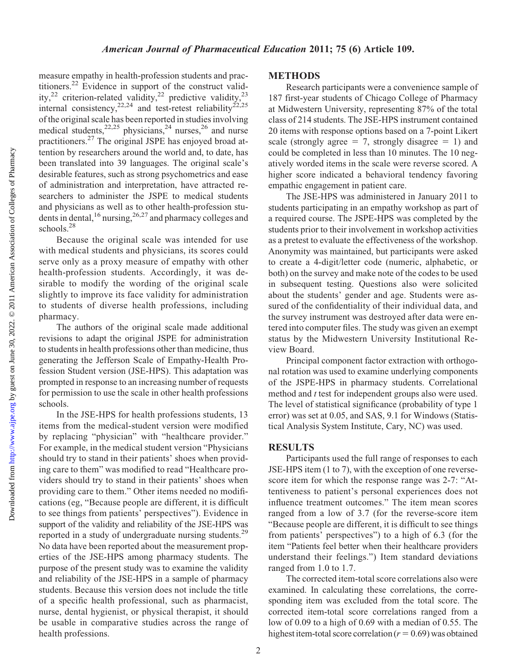measure empathy in health-profession students and practitioners.<sup>22</sup> Evidence in support of the construct validity,<sup>22</sup> criterion-related validity,<sup>22</sup> predictive validity,<sup>23</sup> internal consistency,  $22,24$  and test-retest reliability  $22,25$ of the original scale has been reported in studies involving medical students,  $22,25$  physicians,  $24$  nurses,  $26$  and nurse practitioners.<sup>27</sup> The original JSPE has enjoyed broad attention by researchers around the world and, to date, has been translated into 39 languages. The original scale's desirable features, such as strong psychometrics and ease of administration and interpretation, have attracted researchers to administer the JSPE to medical students and physicians as well as to other health-profession students in dental,  $16$  nursing,  $26,27$  and pharmacy colleges and schools.<sup>28</sup>

Because the original scale was intended for use with medical students and physicians, its scores could serve only as a proxy measure of empathy with other health-profession students. Accordingly, it was desirable to modify the wording of the original scale slightly to improve its face validity for administration to students of diverse health professions, including pharmacy.

The authors of the original scale made additional revisions to adapt the original JSPE for administration to students in health professions other than medicine, thus generating the Jefferson Scale of Empathy-Health Profession Student version (JSE-HPS). This adaptation was prompted in response to an increasing number of requests for permission to use the scale in other health professions schools.

In the JSE-HPS for health professions students, 13 items from the medical-student version were modified by replacing "physician" with "healthcare provider." For example, in the medical student version "Physicians should try to stand in their patients' shoes when providing care to them" was modified to read "Healthcare providers should try to stand in their patients' shoes when providing care to them." Other items needed no modifications (eg, "Because people are different, it is difficult to see things from patients' perspectives"). Evidence in support of the validity and reliability of the JSE-HPS was reported in a study of undergraduate nursing students.29 No data have been reported about the measurement properties of the JSE-HPS among pharmacy students. The purpose of the present study was to examine the validity and reliability of the JSE-HPS in a sample of pharmacy students. Because this version does not include the title of a specific health professional, such as pharmacist, nurse, dental hygienist, or physical therapist, it should be usable in comparative studies across the range of health professions.

#### METHODS

Research participants were a convenience sample of 187 first-year students of Chicago College of Pharmacy at Midwestern University, representing 87% of the total class of 214 students. The JSE-HPS instrument contained 20 items with response options based on a 7-point Likert scale (strongly agree  $= 7$ , strongly disagree  $= 1$ ) and could be completed in less than 10 minutes. The 10 negatively worded items in the scale were reverse scored. A higher score indicated a behavioral tendency favoring empathic engagement in patient care.

The JSE-HPS was administered in January 2011 to students participating in an empathy workshop as part of a required course. The JSPE-HPS was completed by the students prior to their involvement in workshop activities as a pretest to evaluate the effectiveness of the workshop. Anonymity was maintained, but participants were asked to create a 4-digit/letter code (numeric, alphabetic, or both) on the survey and make note of the codes to be used in subsequent testing. Questions also were solicited about the students' gender and age. Students were assured of the confidentiality of their individual data, and the survey instrument was destroyed after data were entered into computer files. The study was given an exempt status by the Midwestern University Institutional Review Board.

Principal component factor extraction with orthogonal rotation was used to examine underlying components of the JSPE-HPS in pharmacy students. Correlational method and *t* test for independent groups also were used. The level of statistical significance (probability of type 1 error) was set at 0.05, and SAS, 9.1 for Windows (Statistical Analysis System Institute, Cary, NC) was used.

### **RESULTS**

Participants used the full range of responses to each JSE-HPS item (1 to 7), with the exception of one reversescore item for which the response range was 2-7: "Attentiveness to patient's personal experiences does not influence treatment outcomes." The item mean scores ranged from a low of 3.7 (for the reverse-score item "Because people are different, it is difficult to see things from patients' perspectives") to a high of 6.3 (for the item "Patients feel better when their healthcare providers understand their feelings.") Item standard deviations ranged from 1.0 to 1.7.

The corrected item-total score correlations also were examined. In calculating these correlations, the corresponding item was excluded from the total score. The corrected item-total score correlations ranged from a low of 0.09 to a high of 0.69 with a median of 0.55. The highest item-total score correlation ( $r = 0.69$ ) was obtained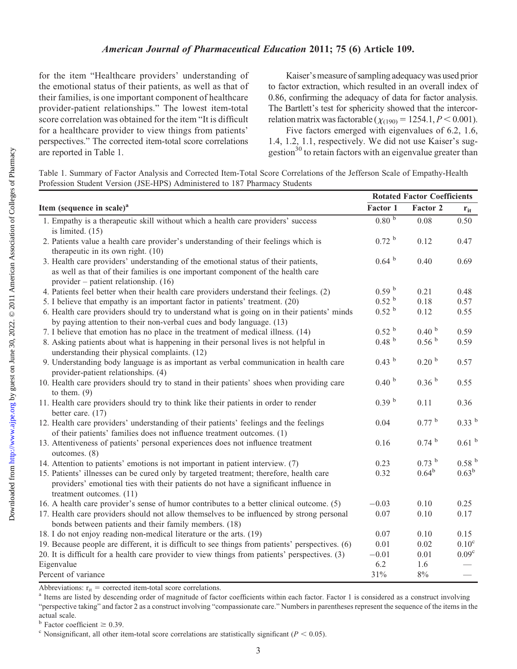for the item "Healthcare providers' understanding of the emotional status of their patients, as well as that of their families, is one important component of healthcare provider-patient relationships." The lowest item-total score correlation was obtained for the item "It is difficult for a healthcare provider to view things from patients' perspectives." The corrected item-total score correlations are reported in Table 1.

Kaiser's measure of sampling adequacy was used prior to factor extraction, which resulted in an overall index of 0.86, confirming the adequacy of data for factor analysis. The Bartlett's test for sphericity showed that the intercorrelation matrix was factorable  $(X_{(190)} = 1254.1, P < 0.001)$ .

Five factors emerged with eigenvalues of 6.2, 1.6, 1.4, 1.2, 1.1, respectively. We did not use Kaiser's suggestion $^{30}$  to retain factors with an eigenvalue greater than

Table 1. Summary of Factor Analysis and Corrected Item-Total Score Correlations of the Jefferson Scale of Empathy-Health Profession Student Version (JSE-HPS) Administered to 187 Pharmacy Students

|                                                                                                                                                                                                             | <b>Rotated Factor Coefficients</b> |                   |                   |
|-------------------------------------------------------------------------------------------------------------------------------------------------------------------------------------------------------------|------------------------------------|-------------------|-------------------|
| Item (sequence in scale) <sup>a</sup>                                                                                                                                                                       | Factor 1                           | Factor 2          | $r_{it}$          |
| 1. Empathy is a therapeutic skill without which a health care providers' success<br>is limited. $(15)$                                                                                                      | 0.80 <sup>b</sup>                  | 0.08              | 0.50              |
| 2. Patients value a health care provider's understanding of their feelings which is<br>therapeutic in its own right. (10)                                                                                   | 0.72 <sup>b</sup>                  | 0.12              | 0.47              |
| 3. Health care providers' understanding of the emotional status of their patients,<br>as well as that of their families is one important component of the health care                                       | 0.64 <sup>b</sup>                  | 0.40              | 0.69              |
| provider – patient relationship. $(16)$<br>4. Patients feel better when their health care providers understand their feelings. (2)                                                                          | 0.59 <sup>b</sup>                  | 0.21              | 0.48              |
| 5. I believe that empathy is an important factor in patients' treatment. (20)                                                                                                                               | 0.52 <sup>b</sup>                  | 0.18              | 0.57              |
| 6. Health care providers should try to understand what is going on in their patients' minds<br>by paying attention to their non-verbal cues and body language. (13)                                         | 0.52 <sup>b</sup>                  | 0.12              | 0.55              |
| 7. I believe that emotion has no place in the treatment of medical illness. (14)                                                                                                                            | 0.52 <sup>b</sup>                  | 0.40 <sup>b</sup> | 0.59              |
| 8. Asking patients about what is happening in their personal lives is not helpful in<br>understanding their physical complaints. (12)                                                                       | 0.48 <sup>b</sup>                  | $0.56\ ^{\rm b}$  | 0.59              |
| 9. Understanding body language is as important as verbal communication in health care<br>provider-patient relationships. (4)                                                                                | 0.43 <sup>b</sup>                  | 0.20 <sup>b</sup> | 0.57              |
| 10. Health care providers should try to stand in their patients' shoes when providing care<br>to them. $(9)$                                                                                                | 0.40 <sup>b</sup>                  | 0.36 <sup>b</sup> | 0.55              |
| 11. Health care providers should try to think like their patients in order to render<br>better care. $(17)$                                                                                                 | 0.39 <sup>b</sup>                  | 0.11              | 0.36              |
| 12. Health care providers' understanding of their patients' feelings and the feelings<br>of their patients' families does not influence treatment outcomes. (1)                                             | 0.04                               | $0.77$ $^{\rm b}$ | 0.33 <sup>b</sup> |
| 13. Attentiveness of patients' personal experiences does not influence treatment<br>outcomes. (8)                                                                                                           | 0.16                               | 0.74 <sup>b</sup> | 0.61 <sup>b</sup> |
| 14. Attention to patients' emotions is not important in patient interview. (7)                                                                                                                              | 0.23                               | 0.73 <sup>b</sup> | 0.58 <sup>b</sup> |
| 15. Patients' illnesses can be cured only by targeted treatment; therefore, health care<br>providers' emotional ties with their patients do not have a significant influence in<br>treatment outcomes. (11) | 0.32                               | $0.64^{\rm b}$    | $0.63^{b}$        |
| 16. A health care provider's sense of humor contributes to a better clinical outcome. (5)                                                                                                                   | $-0.03$                            | 0.10              | 0.25              |
| 17. Health care providers should not allow themselves to be influenced by strong personal<br>bonds between patients and their family members. (18)                                                          | 0.07                               | 0.10              | 0.17              |
| 18. I do not enjoy reading non-medical literature or the arts. (19)                                                                                                                                         | 0.07                               | 0.10              | 0.15              |
| 19. Because people are different, it is difficult to see things from patients' perspectives. (6)                                                                                                            | 0.01                               | 0.02              | $0.10^{\circ}$    |
| 20. It is difficult for a health care provider to view things from patients' perspectives. (3)                                                                                                              | $-0.01$                            | 0.01              | 0.09 <sup>c</sup> |
| Eigenvalue                                                                                                                                                                                                  | 6.2                                | 1.6               |                   |
| Percent of variance                                                                                                                                                                                         | 31%                                | $8\%$             |                   |

Abbreviations:  $r_{it}$  = corrected item-total score correlations.<br><sup>a</sup> Items are listed by descending order of magnitude of factor coefficients within each factor. Factor 1 is considered as a construct involving "perspective taking" and factor 2 as a construct involving "compassionate care." Numbers in parentheses represent the sequence of the items in the actual scale.

<sup>&</sup>lt;sup>b</sup> Factor coefficient  $\geq 0.39$ .<br><sup>c</sup> Nonsignificant, all other item-total score correlations are statistically significant (*P* < 0.05).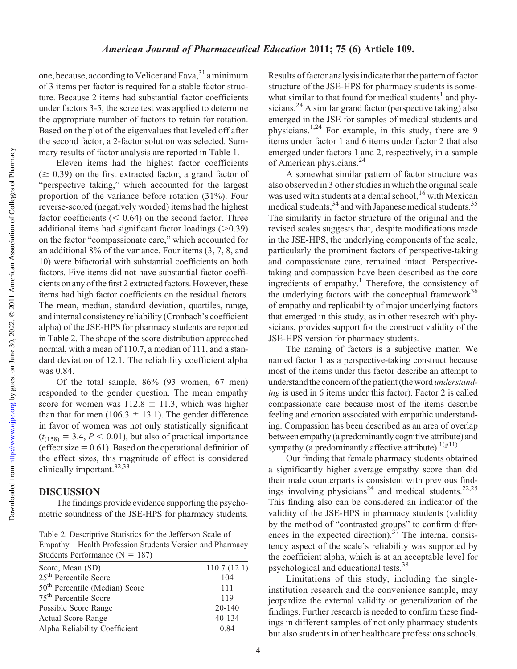one, because, according to Velicer and Fava, <sup>31</sup> a minimum of 3 items per factor is required for a stable factor structure. Because 2 items had substantial factor coefficients under factors 3-5, the scree test was applied to determine the appropriate number of factors to retain for rotation. Based on the plot of the eigenvalues that leveled off after the second factor, a 2-factor solution was selected. Summary results of factor analysis are reported in Table 1.

Eleven items had the highest factor coefficients  $(\geq 0.39)$  on the first extracted factor, a grand factor of "perspective taking," which accounted for the largest proportion of the variance before rotation (31%). Four reverse-scored (negatively worded) items had the highest factor coefficients  $(< 0.64)$  on the second factor. Three additional items had significant factor loadings  $(>0.39)$ on the factor "compassionate care," which accounted for an additional 8% of the variance. Four items (3, 7, 8, and 10) were bifactorial with substantial coefficients on both factors. Five items did not have substantial factor coefficients on any ofthe first 2 extracted factors. However, these items had high factor coefficients on the residual factors. The mean, median, standard deviation, quartiles, range, and internal consistency reliability (Cronbach's coefficient alpha) of the JSE-HPS for pharmacy students are reported in Table 2. The shape of the score distribution approached normal, with a mean of 110.7, a median of 111, and a standard deviation of 12.1. The reliability coefficient alpha was 0.84.

Of the total sample, 86% (93 women, 67 men) responded to the gender question. The mean empathy score for women was  $112.8 \pm 11.3$ , which was higher than that for men (106.3  $\pm$  13.1). The gender difference in favor of women was not only statistically significant  $(t<sub>(158)</sub> = 3.4, P < 0.01)$ , but also of practical importance (effect size  $= 0.61$ ). Based on the operational definition of the effect sizes, this magnitude of effect is considered clinically important.<sup>32,33</sup>

#### DISCUSSION

The findings provide evidence supporting the psychometric soundness of the JSE-HPS for pharmacy students.

Table 2. Descriptive Statistics for the Jefferson Scale of Empathy – Health Profession Students Version and Pharmacy Students Performance ( $N = 187$ )

| Score, Mean (SD)                           | 110.7(12.1) |
|--------------------------------------------|-------------|
| 25 <sup>th</sup> Percentile Score          | 104         |
| 50 <sup>th</sup> Percentile (Median) Score | 111         |
| 75 <sup>th</sup> Percentile Score          | 119         |
| Possible Score Range                       | $20 - 140$  |
| Actual Score Range                         | $40 - 134$  |
| Alpha Reliability Coefficient              | 0.84        |

Results of factor analysis indicate that the pattern of factor structure of the JSE-HPS for pharmacy students is somewhat similar to that found for medical students<sup>1</sup> and physicians.<sup>24</sup> A similar grand factor (perspective taking) also emerged in the JSE for samples of medical students and physicians.1,24 For example, in this study, there are 9 items under factor 1 and 6 items under factor 2 that also emerged under factors 1 and 2, respectively, in a sample of American physicians.<sup>24</sup>

A somewhat similar pattern of factor structure was also observed in 3 other studies in which the original scale was used with students at a dental school,<sup>16</sup> with Mexican medical students,  $34$  and with Japanese medical students.<sup>35</sup> The similarity in factor structure of the original and the revised scales suggests that, despite modifications made in the JSE-HPS, the underlying components of the scale, particularly the prominent factors of perspective-taking and compassionate care, remained intact. Perspectivetaking and compassion have been described as the core ingredients of empathy.<sup>1</sup> Therefore, the consistency of the underlying factors with the conceptual framework $36$ of empathy and replicability of major underlying factors that emerged in this study, as in other research with physicians, provides support for the construct validity of the JSE-HPS version for pharmacy students.

The naming of factors is a subjective matter. We named factor 1 as a perspective-taking construct because most of the items under this factor describe an attempt to understand the concern of the patient (the word understanding is used in 6 items under this factor). Factor 2 is called compassionate care because most of the items describe feeling and emotion associated with empathic understanding. Compassion has been described as an area of overlap between empathy (a predominantly cognitive attribute) and sympathy (a predominantly affective attribute).<sup>1(p11)</sup>

Our finding that female pharmacy students obtained a significantly higher average empathy score than did their male counterparts is consistent with previous findings involving physicians<sup>24</sup> and medical students.<sup>22,25</sup> This finding also can be considered an indicator of the validity of the JSE-HPS in pharmacy students (validity by the method of "contrasted groups" to confirm differences in the expected direction).<sup>37</sup> The internal consistency aspect of the scale's reliability was supported by the coefficient alpha, which is at an acceptable level for psychological and educational tests.38

Limitations of this study, including the singleinstitution research and the convenience sample, may jeopardize the external validity or generalization of the findings. Further research is needed to confirm these findings in different samples of not only pharmacy students but also students in other healthcare professions schools.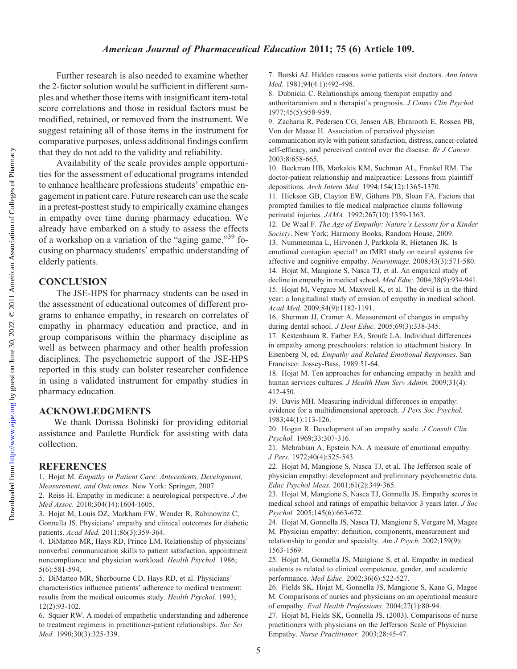#### American Journal of Pharmaceutical Education 2011; 75 (6) Article 109.

Further research is also needed to examine whether the 2-factor solution would be sufficient in different samples and whether those items with insignificant item-total score correlations and those in residual factors must be modified, retained, or removed from the instrument. We suggest retaining all of those items in the instrument for comparative purposes, unless additional findings confirm that they do not add to the validity and reliability.

Availability of the scale provides ample opportunities for the assessment of educational programs intended to enhance healthcare professions students' empathic engagement in patient care. Future research can use the scale in a pretest-posttest study to empirically examine changes in empathy over time during pharmacy education. We already have embarked on a study to assess the effects of a workshop on a variation of the "aging game,"39 focusing on pharmacy students' empathic understanding of elderly patients.

#### **CONCLUSION**

The JSE-HPS for pharmacy students can be used in the assessment of educational outcomes of different programs to enhance empathy, in research on correlates of empathy in pharmacy education and practice, and in group comparisons within the pharmacy discipline as well as between pharmacy and other health profession disciplines. The psychometric support of the JSE-HPS reported in this study can bolster researcher confidence in using a validated instrument for empathy studies in pharmacy education.

#### ACKNOWLEDGMENTS

We thank Dorissa Bolinski for providing editorial assistance and Paulette Burdick for assisting with data collection.

#### REFERENCES

1. Hojat M. Empathy in Patient Care: Antecedents, Development, Measurement, and Outcomes. New York: Springer, 2007.

2. Reiss H. Empathy in medicine: a neurological perspective.  $JAm$ Med Assoc. 2010;304(14):1604-1605.

3. Hojat M, Louis DZ, Markham FW, Wender R, Rabinowitz C, Gonnella JS. Physicians' empathy and clinical outcomes for diabetic patients. Acad Med. 2011;86(3):359-364.

4. DiMatteo MR, Hays RD, Prince LM. Relationship of physicians' nonverbal communication skills to patient satisfaction, appointment noncompliance and physician workload. Health Psychol. 1986; 5(6):581-594.

5. DiMatteo MR, Sherbourne CD, Hays RD, et al. Physicians' characteristics influence patients' adherence to medical treatment: results from the medical outcomes study. Health Psychol. 1993; 12(2):93-102.

6. Squier RW. A model of empathetic understanding and adherence to treatment regimens in practitioner-patient relationships. Soc Sci Med. 1990;30(3):325-339.

7. Barski AJ. Hidden reasons some patients visit doctors. Ann Intern Med. 1981;94(4.1):492-498.

8. Dubnicki C. Relationships among therapist empathy and authoritarianism and a therapist's prognosis. J Couns Clin Psychol. 1977;45(5):958-959.

9. Zacharia R, Pedersen CG, Jensen AB, Ehrnrooth E, Rossen PB, Von der Maase H. Association of perceived physician communication style with patient satisfaction, distress, cancer-related self-efficacy, and perceived control over the disease. Br J Cancer. 2003;8:658-665.

10. Beckman HB, Markakis KM, Suchman AL, Frankel RM. The doctor-patient relationship and malpractice: Lessons from plaintiff depositions. Arch Intern Med. 1994;154(12):1365-1370.

11. Hickson GB, Clayton EW, Githens PB, Sloan FA. Factors that prompted families to file medical malpractice claims following perinatal injuries. JAMA. 1992;267(10):1359-1363.

12. De Waal F. The Age of Empathy: Nature's Lessons for a Kinder Society. New York; Harmony Books, Random House, 2009.

13. Nummenmaa L, Hirvonen J, Parkkola R, Hietanen JK. Is emotional contagion special? an fMRI study on neural systems for affective and cognitive empathy. Neuroimage. 2008;43(3):571-580. 14. Hojat M, Mangione S, Nasca TJ, et al. An empirical study of decline in empathy in medical school. Med Educ. 2004;38(9):934-941. 15. Hojat M, Vergare M, Maxwell K, et al. The devil is in the third year: a longitudinal study of erosion of empathy in medical school. Acad Med. 2009;84(9):1182-1191.

16. Sherman JJ, Cramer A. Measurement of changes in empathy during dental school. *J Dent Educ*. 2005;69(3):338-345.

17. Kestenbaum R, Farber EA, Sroufe LA. Individual differences in empathy among preschoolers: relation to attachment history. In Eisenberg N, ed. Empathy and Related Emotional Responses. San Francisco: Jossey-Bass, 1989:51-64.

18. Hojat M. Ten approaches for enhancing empathy in health and human services cultures. J Health Hum Serv Admin. 2009;31(4): 412-450.

19. Davis MH. Measuring individual differences in empathy: evidence for a multidimensional approach. J Pers Soc Psychol. 1983;44(1):113-126.

20. Hogan R. Development of an empathy scale. J Consult Clin Psychol. 1969;33:307-316.

21. Mehrabian A, Epstein NA. A measure of emotional empathy. J Pers. 1972;40(4):525-543.

22. Hojat M, Mangione S, Nasca TJ, et al. The Jefferson scale of physician empathy: development and preliminary psychometric data. Educ Psychol Meas. 2001;61(2):349-365.

23. Hojat M, Mangione S, Nasca TJ, Gonnella JS. Empathy scores in medical school and ratings of empathic behavior 3 years later. J Soc Psychol. 2005;145(6):663-672.

24. Hojat M, Gonnella JS, Nasca TJ, Mangione S, Vergare M, Magee M. Physician empathy: definition, components, measurement and relationship to gender and specialty. Am J Psych. 2002;159(9): 1563-1569.

25. Hojat M, Gonnella JS, Mangione S, et al. Empathy in medical students as related to clinical competence, gender, and academic performance. Med Educ. 2002;36(6):522-527.

26. Fields SK, Hojat M, Gonnella JS, Mangione S, Kane G, Magee M. Comparisons of nurses and physicians on an operational measure of empathy. Eval Health Professions. 2004;27(1):80-94.

27. Hojat M, Fields SK, Gonnella JS. (2003). Comparisons of nurse practitioners with physicians on the Jefferson Scale of Physician Empathy. Nurse Practitioner. 2003;28:45-47.